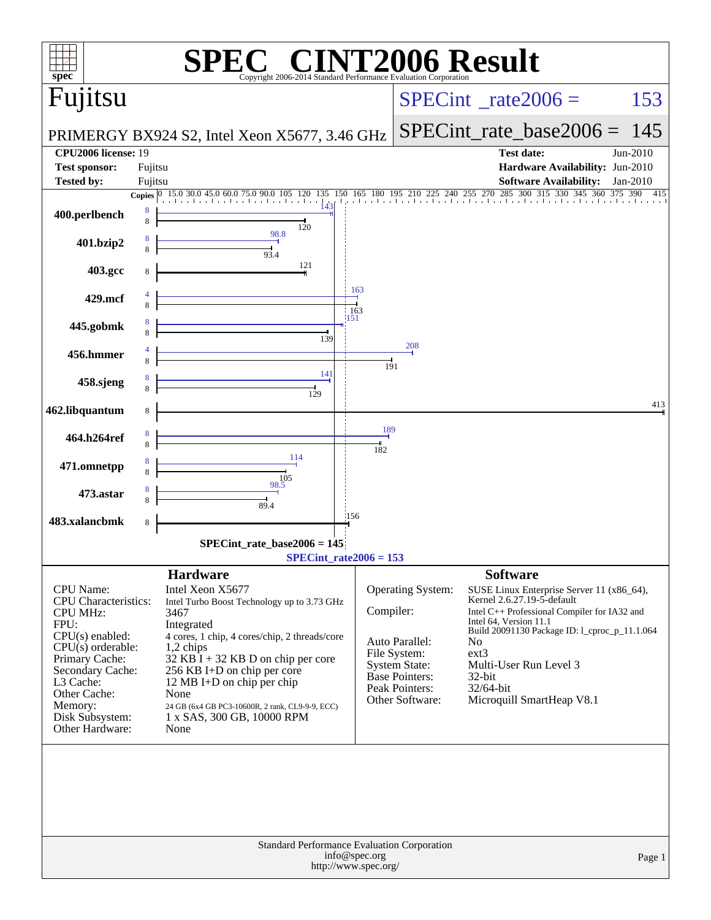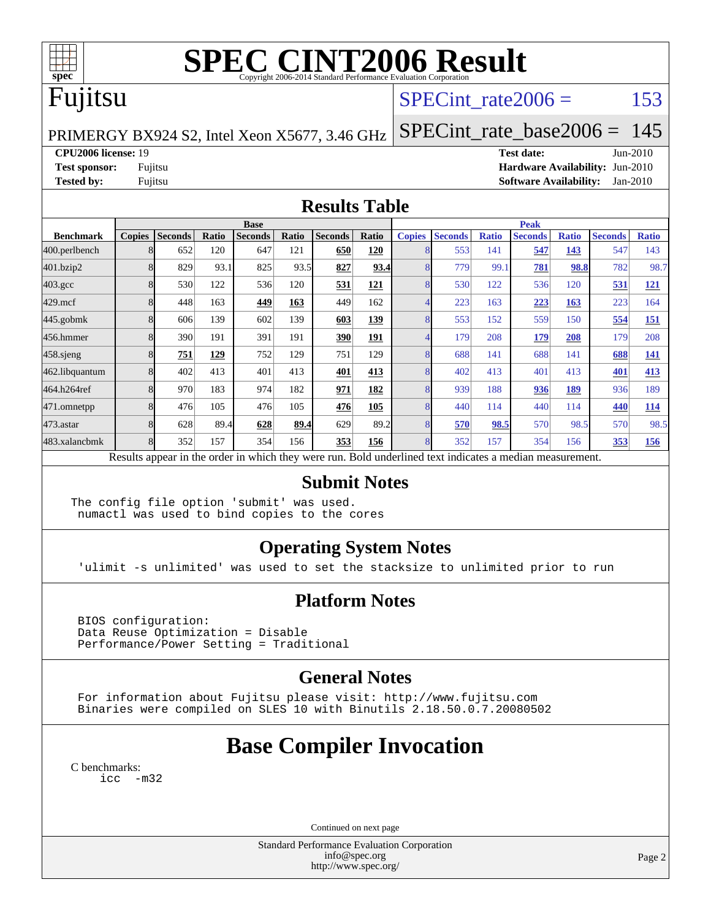

# **[SPEC CINT2006 Result](http://www.spec.org/auto/cpu2006/Docs/result-fields.html#SPECCINT2006Result)**

# Fujitsu

## SPECint rate $2006 =$  153

PRIMERGY BX924 S2, Intel Xeon X5677, 3.46 GHz

[SPECint\\_rate\\_base2006 =](http://www.spec.org/auto/cpu2006/Docs/result-fields.html#SPECintratebase2006) 145

**[CPU2006 license:](http://www.spec.org/auto/cpu2006/Docs/result-fields.html#CPU2006license)** 19 **[Test date:](http://www.spec.org/auto/cpu2006/Docs/result-fields.html#Testdate)** Jun-2010

**[Test sponsor:](http://www.spec.org/auto/cpu2006/Docs/result-fields.html#Testsponsor)** Fujitsu **[Hardware Availability:](http://www.spec.org/auto/cpu2006/Docs/result-fields.html#HardwareAvailability)** Jun-2010 **[Tested by:](http://www.spec.org/auto/cpu2006/Docs/result-fields.html#Testedby)** Fujitsu **[Software Availability:](http://www.spec.org/auto/cpu2006/Docs/result-fields.html#SoftwareAvailability)** Jan-2010

#### **[Results Table](http://www.spec.org/auto/cpu2006/Docs/result-fields.html#ResultsTable)**

|                    | <b>Base</b>                                                                                              |                |       |                |       |                |            |               | <b>Peak</b>    |              |                |              |                |              |  |
|--------------------|----------------------------------------------------------------------------------------------------------|----------------|-------|----------------|-------|----------------|------------|---------------|----------------|--------------|----------------|--------------|----------------|--------------|--|
| <b>Benchmark</b>   | <b>Copies</b>                                                                                            | <b>Seconds</b> | Ratio | <b>Seconds</b> | Ratio | <b>Seconds</b> | Ratio      | <b>Copies</b> | <b>Seconds</b> | <b>Ratio</b> | <b>Seconds</b> | <b>Ratio</b> | <b>Seconds</b> | <b>Ratio</b> |  |
| 400.perlbench      |                                                                                                          | 652            | 120   | 647            | 121   | 650            | 120        |               | 553            | 141          | 547            | 143          | 547            | 143          |  |
| 401.bzip2          |                                                                                                          | 829            | 93.1  | 825            | 93.5  | 827            | 93.4       |               | 779            | 99.1         | 781            | 98.8         | 782            | 98.7         |  |
| $403.\mathrm{gcc}$ |                                                                                                          | 530            | 122   | 536            | 120   | 531            | <u>121</u> |               | 530            | 122          | 536            | 120          | 531            | <u>121</u>   |  |
| $429$ .mcf         |                                                                                                          | 448            | 163   | 449            | 163   | 449            | 162        |               | 223            | 163          | 223            | 163          | 223            | 164          |  |
| $445$ .gobmk       |                                                                                                          | 606            | 139   | 602            | 139   | 603            | <u>139</u> |               | 553            | 152          | 559            | 150          | 554            | <b>151</b>   |  |
| 456.hmmer          |                                                                                                          | 390            | 191   | 391            | 191   | 390            | 191        |               | 179            | 208          | <u>179</u>     | 208          | 179            | 208          |  |
| $458$ .sjeng       |                                                                                                          | 751            | 129   | 752            | 129   | 751            | 129        |               | 688            | 141          | 688            | 141          | 688            | 141          |  |
| 462.libquantum     |                                                                                                          | 402            | 413   | 401            | 413   | 401            | 413        |               | 402            | 413          | 401            | 413          | 401            | 413          |  |
| 464.h264ref        |                                                                                                          | 970            | 183   | 974            | 182   | 971            | 182        |               | 939            | 188          | 936            | 189          | 936            | 189          |  |
| 471.omnetpp        |                                                                                                          | 476            | 105   | 476            | 105   | 476            | 105        |               | 440            | 114          | 440            | 114          | 440            | 114          |  |
| 473.astar          |                                                                                                          | 628            | 89.4  | 628            | 89.4  | 629            | 89.2       |               | 570            | 98.5         | 570            | 98.5         | 570            | 98.5         |  |
| 483.xalancbmk      |                                                                                                          | 352            | 157   | 354            | 156   | 353            | 156        |               | 352            | 157          | 354            | 156          | 353            | 156          |  |
|                    | Results appear in the order in which they were run. Bold underlined text indicates a median measurement. |                |       |                |       |                |            |               |                |              |                |              |                |              |  |

#### **[Submit Notes](http://www.spec.org/auto/cpu2006/Docs/result-fields.html#SubmitNotes)**

The config file option 'submit' was used. numactl was used to bind copies to the cores

## **[Operating System Notes](http://www.spec.org/auto/cpu2006/Docs/result-fields.html#OperatingSystemNotes)**

'ulimit -s unlimited' was used to set the stacksize to unlimited prior to run

## **[Platform Notes](http://www.spec.org/auto/cpu2006/Docs/result-fields.html#PlatformNotes)**

 BIOS configuration: Data Reuse Optimization = Disable Performance/Power Setting = Traditional

## **[General Notes](http://www.spec.org/auto/cpu2006/Docs/result-fields.html#GeneralNotes)**

 For information about Fujitsu please visit: <http://www.fujitsu.com> Binaries were compiled on SLES 10 with Binutils 2.18.50.0.7.20080502

## **[Base Compiler Invocation](http://www.spec.org/auto/cpu2006/Docs/result-fields.html#BaseCompilerInvocation)**

[C benchmarks](http://www.spec.org/auto/cpu2006/Docs/result-fields.html#Cbenchmarks): [icc -m32](http://www.spec.org/cpu2006/results/res2010q3/cpu2006-20100716-12446.flags.html#user_CCbase_intel_icc_32bit_5ff4a39e364c98233615fdd38438c6f2)

Continued on next page

Standard Performance Evaluation Corporation [info@spec.org](mailto:info@spec.org) <http://www.spec.org/>

Page 2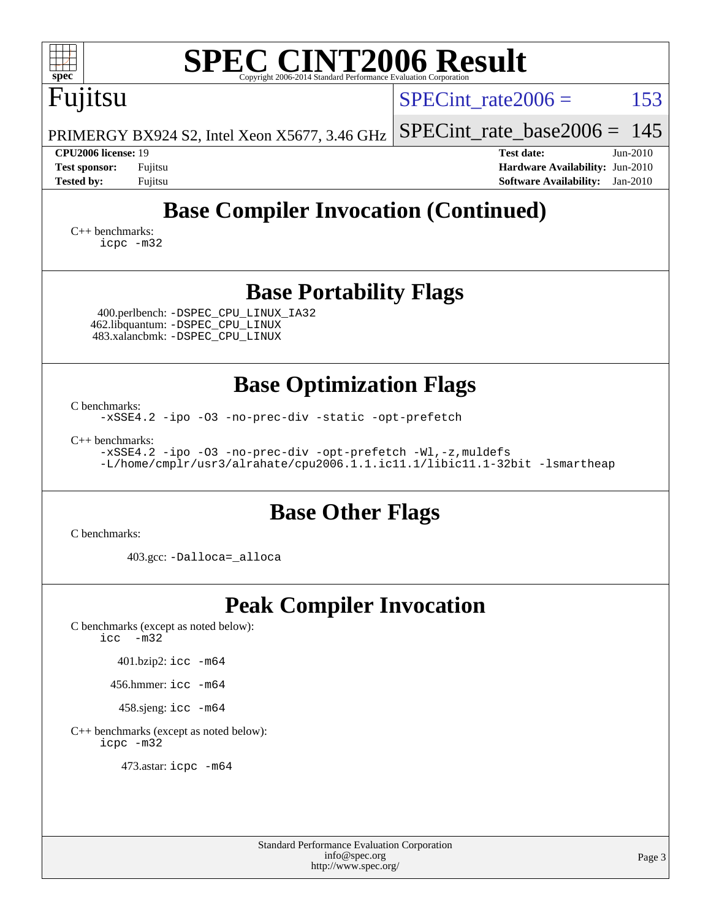| <b>SPEC CINT2006 Result</b><br>$spec^*$<br>Copyright 2006-2014 Standard Performance Evaluation Corporation                                                                                                                                                                    |                                                                                                                   |  |  |  |  |  |  |  |
|-------------------------------------------------------------------------------------------------------------------------------------------------------------------------------------------------------------------------------------------------------------------------------|-------------------------------------------------------------------------------------------------------------------|--|--|--|--|--|--|--|
| Fujitsu                                                                                                                                                                                                                                                                       | 153<br>SPECint rate $2006 =$                                                                                      |  |  |  |  |  |  |  |
| PRIMERGY BX924 S2, Intel Xeon X5677, 3.46 GHz                                                                                                                                                                                                                                 | 145<br>$SPECint_rate\_base2006 =$                                                                                 |  |  |  |  |  |  |  |
| CPU2006 license: 19<br><b>Test sponsor:</b><br>Fujitsu<br><b>Tested by:</b><br>Fujitsu                                                                                                                                                                                        | <b>Test date:</b><br>$Jun-2010$<br>Hardware Availability: Jun-2010<br><b>Software Availability:</b><br>$Jan-2010$ |  |  |  |  |  |  |  |
| <b>Base Compiler Invocation (Continued)</b><br>$C_{++}$ benchmarks:<br>icpc -m32                                                                                                                                                                                              |                                                                                                                   |  |  |  |  |  |  |  |
| <b>Base Portability Flags</b><br>400.perlbench: -DSPEC_CPU_LINUX_IA32<br>462.libquantum: -DSPEC_CPU_LINUX<br>483.xalancbmk: -DSPEC_CPU_LINUX                                                                                                                                  |                                                                                                                   |  |  |  |  |  |  |  |
| <b>Base Optimization Flags</b><br>C benchmarks:<br>-xSSE4.2 -ipo -03 -no-prec-div -static -opt-prefetch<br>$C_{++}$ benchmarks:<br>-xSSE4.2 -ipo -03 -no-prec-div -opt-prefetch -Wl,-z, muldefs<br>-L/home/cmplr/usr3/alrahate/cpu2006.1.1.ic11.1/libic11.1-32bit -lsmartheap |                                                                                                                   |  |  |  |  |  |  |  |
| <b>Base Other Flags</b><br>C benchmarks:                                                                                                                                                                                                                                      |                                                                                                                   |  |  |  |  |  |  |  |
| 403.gcc: -Dalloca=_alloca                                                                                                                                                                                                                                                     |                                                                                                                   |  |  |  |  |  |  |  |
| <b>Peak Compiler Invocation</b><br>C benchmarks (except as noted below):<br>$\text{icc}$ -m32<br>401.bzip2: icc -m64<br>456.hmmer: icc -m64<br>458.sjeng: icc -m64<br>C++ benchmarks (except as noted below):<br>icpc -m32                                                    |                                                                                                                   |  |  |  |  |  |  |  |
| 473.astar: icpc -m64                                                                                                                                                                                                                                                          |                                                                                                                   |  |  |  |  |  |  |  |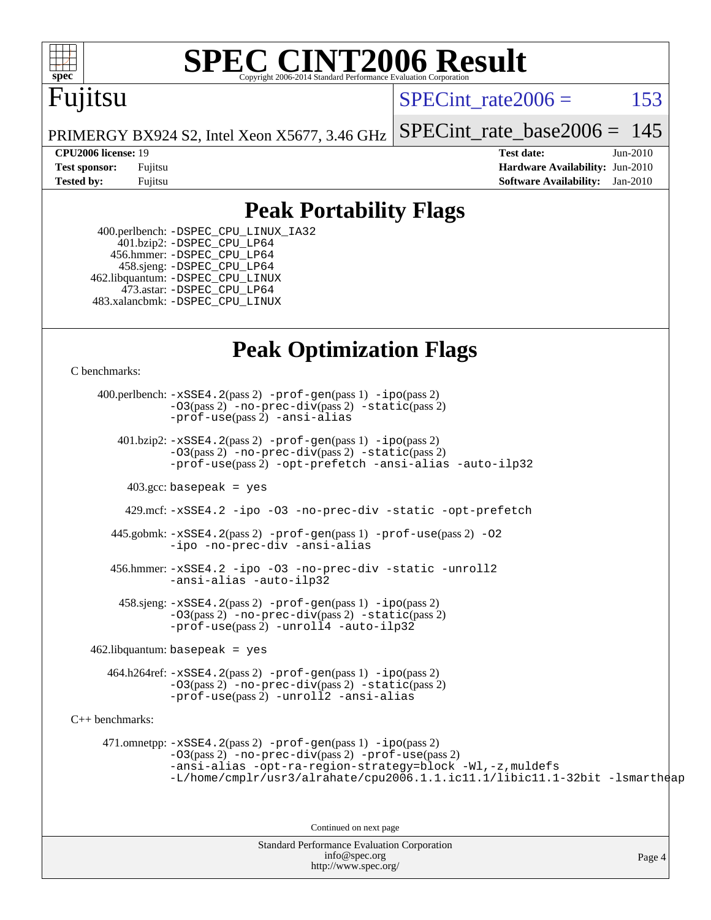

# **[SPEC CINT2006 Result](http://www.spec.org/auto/cpu2006/Docs/result-fields.html#SPECCINT2006Result)**

## Fujitsu

SPECint rate $2006 = 153$ 

[SPECint\\_rate\\_base2006 =](http://www.spec.org/auto/cpu2006/Docs/result-fields.html#SPECintratebase2006)  $145$ 

PRIMERGY BX924 S2, Intel Xeon X5677, 3.46 GHz

**[CPU2006 license:](http://www.spec.org/auto/cpu2006/Docs/result-fields.html#CPU2006license)** 19 **[Test date:](http://www.spec.org/auto/cpu2006/Docs/result-fields.html#Testdate)** Jun-2010 **[Test sponsor:](http://www.spec.org/auto/cpu2006/Docs/result-fields.html#Testsponsor)** Fujitsu **[Hardware Availability:](http://www.spec.org/auto/cpu2006/Docs/result-fields.html#HardwareAvailability)** Jun-2010 **[Tested by:](http://www.spec.org/auto/cpu2006/Docs/result-fields.html#Testedby)** Fujitsu **[Software Availability:](http://www.spec.org/auto/cpu2006/Docs/result-fields.html#SoftwareAvailability)** Jan-2010

## **[Peak Portability Flags](http://www.spec.org/auto/cpu2006/Docs/result-fields.html#PeakPortabilityFlags)**

 400.perlbench: [-DSPEC\\_CPU\\_LINUX\\_IA32](http://www.spec.org/cpu2006/results/res2010q3/cpu2006-20100716-12446.flags.html#b400.perlbench_peakCPORTABILITY_DSPEC_CPU_LINUX_IA32) 401.bzip2: [-DSPEC\\_CPU\\_LP64](http://www.spec.org/cpu2006/results/res2010q3/cpu2006-20100716-12446.flags.html#suite_peakCPORTABILITY401_bzip2_DSPEC_CPU_LP64) 456.hmmer: [-DSPEC\\_CPU\\_LP64](http://www.spec.org/cpu2006/results/res2010q3/cpu2006-20100716-12446.flags.html#suite_peakCPORTABILITY456_hmmer_DSPEC_CPU_LP64) 458.sjeng: [-DSPEC\\_CPU\\_LP64](http://www.spec.org/cpu2006/results/res2010q3/cpu2006-20100716-12446.flags.html#suite_peakCPORTABILITY458_sjeng_DSPEC_CPU_LP64) 462.libquantum: [-DSPEC\\_CPU\\_LINUX](http://www.spec.org/cpu2006/results/res2010q3/cpu2006-20100716-12446.flags.html#b462.libquantum_peakCPORTABILITY_DSPEC_CPU_LINUX) 473.astar: [-DSPEC\\_CPU\\_LP64](http://www.spec.org/cpu2006/results/res2010q3/cpu2006-20100716-12446.flags.html#suite_peakCXXPORTABILITY473_astar_DSPEC_CPU_LP64) 483.xalancbmk: [-DSPEC\\_CPU\\_LINUX](http://www.spec.org/cpu2006/results/res2010q3/cpu2006-20100716-12446.flags.html#b483.xalancbmk_peakCXXPORTABILITY_DSPEC_CPU_LINUX)

## **[Peak Optimization Flags](http://www.spec.org/auto/cpu2006/Docs/result-fields.html#PeakOptimizationFlags)**

[C benchmarks](http://www.spec.org/auto/cpu2006/Docs/result-fields.html#Cbenchmarks):

Standard Performance Evaluation Corporation 400.perlbench: [-xSSE4.2](http://www.spec.org/cpu2006/results/res2010q3/cpu2006-20100716-12446.flags.html#user_peakPASS2_CFLAGSPASS2_LDCFLAGS400_perlbench_f-xSSE42_f91528193cf0b216347adb8b939d4107)(pass 2) [-prof-gen](http://www.spec.org/cpu2006/results/res2010q3/cpu2006-20100716-12446.flags.html#user_peakPASS1_CFLAGSPASS1_LDCFLAGS400_perlbench_prof_gen_e43856698f6ca7b7e442dfd80e94a8fc)(pass 1) [-ipo](http://www.spec.org/cpu2006/results/res2010q3/cpu2006-20100716-12446.flags.html#user_peakPASS2_CFLAGSPASS2_LDCFLAGS400_perlbench_f-ipo)(pass 2) [-O3](http://www.spec.org/cpu2006/results/res2010q3/cpu2006-20100716-12446.flags.html#user_peakPASS2_CFLAGSPASS2_LDCFLAGS400_perlbench_f-O3)(pass 2) [-no-prec-div](http://www.spec.org/cpu2006/results/res2010q3/cpu2006-20100716-12446.flags.html#user_peakPASS2_CFLAGSPASS2_LDCFLAGS400_perlbench_f-no-prec-div)(pass 2) [-static](http://www.spec.org/cpu2006/results/res2010q3/cpu2006-20100716-12446.flags.html#user_peakPASS2_CFLAGSPASS2_LDCFLAGS400_perlbench_f-static)(pass 2) [-prof-use](http://www.spec.org/cpu2006/results/res2010q3/cpu2006-20100716-12446.flags.html#user_peakPASS2_CFLAGSPASS2_LDCFLAGS400_perlbench_prof_use_bccf7792157ff70d64e32fe3e1250b55)(pass 2) [-ansi-alias](http://www.spec.org/cpu2006/results/res2010q3/cpu2006-20100716-12446.flags.html#user_peakCOPTIMIZE400_perlbench_f-ansi-alias) 401.bzip2: [-xSSE4.2](http://www.spec.org/cpu2006/results/res2010q3/cpu2006-20100716-12446.flags.html#user_peakPASS2_CFLAGSPASS2_LDCFLAGS401_bzip2_f-xSSE42_f91528193cf0b216347adb8b939d4107)(pass 2) [-prof-gen](http://www.spec.org/cpu2006/results/res2010q3/cpu2006-20100716-12446.flags.html#user_peakPASS1_CFLAGSPASS1_LDCFLAGS401_bzip2_prof_gen_e43856698f6ca7b7e442dfd80e94a8fc)(pass 1) [-ipo](http://www.spec.org/cpu2006/results/res2010q3/cpu2006-20100716-12446.flags.html#user_peakPASS2_CFLAGSPASS2_LDCFLAGS401_bzip2_f-ipo)(pass 2) [-O3](http://www.spec.org/cpu2006/results/res2010q3/cpu2006-20100716-12446.flags.html#user_peakPASS2_CFLAGSPASS2_LDCFLAGS401_bzip2_f-O3)(pass 2) [-no-prec-div](http://www.spec.org/cpu2006/results/res2010q3/cpu2006-20100716-12446.flags.html#user_peakPASS2_CFLAGSPASS2_LDCFLAGS401_bzip2_f-no-prec-div)(pass 2) [-static](http://www.spec.org/cpu2006/results/res2010q3/cpu2006-20100716-12446.flags.html#user_peakPASS2_CFLAGSPASS2_LDCFLAGS401_bzip2_f-static)(pass 2) [-prof-use](http://www.spec.org/cpu2006/results/res2010q3/cpu2006-20100716-12446.flags.html#user_peakPASS2_CFLAGSPASS2_LDCFLAGS401_bzip2_prof_use_bccf7792157ff70d64e32fe3e1250b55)(pass 2) [-opt-prefetch](http://www.spec.org/cpu2006/results/res2010q3/cpu2006-20100716-12446.flags.html#user_peakCOPTIMIZE401_bzip2_f-opt-prefetch) [-ansi-alias](http://www.spec.org/cpu2006/results/res2010q3/cpu2006-20100716-12446.flags.html#user_peakCOPTIMIZE401_bzip2_f-ansi-alias) [-auto-ilp32](http://www.spec.org/cpu2006/results/res2010q3/cpu2006-20100716-12446.flags.html#user_peakCOPTIMIZE401_bzip2_f-auto-ilp32)  $403.\text{gcc: basepeak}$  = yes 429.mcf: [-xSSE4.2](http://www.spec.org/cpu2006/results/res2010q3/cpu2006-20100716-12446.flags.html#user_peakCOPTIMIZE429_mcf_f-xSSE42_f91528193cf0b216347adb8b939d4107) [-ipo](http://www.spec.org/cpu2006/results/res2010q3/cpu2006-20100716-12446.flags.html#user_peakCOPTIMIZE429_mcf_f-ipo) [-O3](http://www.spec.org/cpu2006/results/res2010q3/cpu2006-20100716-12446.flags.html#user_peakCOPTIMIZE429_mcf_f-O3) [-no-prec-div](http://www.spec.org/cpu2006/results/res2010q3/cpu2006-20100716-12446.flags.html#user_peakCOPTIMIZE429_mcf_f-no-prec-div) [-static](http://www.spec.org/cpu2006/results/res2010q3/cpu2006-20100716-12446.flags.html#user_peakCOPTIMIZE429_mcf_f-static) [-opt-prefetch](http://www.spec.org/cpu2006/results/res2010q3/cpu2006-20100716-12446.flags.html#user_peakCOPTIMIZE429_mcf_f-opt-prefetch) 445.gobmk: [-xSSE4.2](http://www.spec.org/cpu2006/results/res2010q3/cpu2006-20100716-12446.flags.html#user_peakPASS2_CFLAGSPASS2_LDCFLAGS445_gobmk_f-xSSE42_f91528193cf0b216347adb8b939d4107)(pass 2) [-prof-gen](http://www.spec.org/cpu2006/results/res2010q3/cpu2006-20100716-12446.flags.html#user_peakPASS1_CFLAGSPASS1_LDCFLAGS445_gobmk_prof_gen_e43856698f6ca7b7e442dfd80e94a8fc)(pass 1) [-prof-use](http://www.spec.org/cpu2006/results/res2010q3/cpu2006-20100716-12446.flags.html#user_peakPASS2_CFLAGSPASS2_LDCFLAGS445_gobmk_prof_use_bccf7792157ff70d64e32fe3e1250b55)(pass 2) [-O2](http://www.spec.org/cpu2006/results/res2010q3/cpu2006-20100716-12446.flags.html#user_peakCOPTIMIZE445_gobmk_f-O2) [-ipo](http://www.spec.org/cpu2006/results/res2010q3/cpu2006-20100716-12446.flags.html#user_peakCOPTIMIZE445_gobmk_f-ipo) [-no-prec-div](http://www.spec.org/cpu2006/results/res2010q3/cpu2006-20100716-12446.flags.html#user_peakCOPTIMIZE445_gobmk_f-no-prec-div) [-ansi-alias](http://www.spec.org/cpu2006/results/res2010q3/cpu2006-20100716-12446.flags.html#user_peakCOPTIMIZE445_gobmk_f-ansi-alias) 456.hmmer: [-xSSE4.2](http://www.spec.org/cpu2006/results/res2010q3/cpu2006-20100716-12446.flags.html#user_peakCOPTIMIZE456_hmmer_f-xSSE42_f91528193cf0b216347adb8b939d4107) [-ipo](http://www.spec.org/cpu2006/results/res2010q3/cpu2006-20100716-12446.flags.html#user_peakCOPTIMIZE456_hmmer_f-ipo) [-O3](http://www.spec.org/cpu2006/results/res2010q3/cpu2006-20100716-12446.flags.html#user_peakCOPTIMIZE456_hmmer_f-O3) [-no-prec-div](http://www.spec.org/cpu2006/results/res2010q3/cpu2006-20100716-12446.flags.html#user_peakCOPTIMIZE456_hmmer_f-no-prec-div) [-static](http://www.spec.org/cpu2006/results/res2010q3/cpu2006-20100716-12446.flags.html#user_peakCOPTIMIZE456_hmmer_f-static) [-unroll2](http://www.spec.org/cpu2006/results/res2010q3/cpu2006-20100716-12446.flags.html#user_peakCOPTIMIZE456_hmmer_f-unroll_784dae83bebfb236979b41d2422d7ec2) [-ansi-alias](http://www.spec.org/cpu2006/results/res2010q3/cpu2006-20100716-12446.flags.html#user_peakCOPTIMIZE456_hmmer_f-ansi-alias) [-auto-ilp32](http://www.spec.org/cpu2006/results/res2010q3/cpu2006-20100716-12446.flags.html#user_peakCOPTIMIZE456_hmmer_f-auto-ilp32)  $458 \text{.}$  sjeng:  $-xSSE4$ .  $2(\text{pass 2})$  -prof-qen(pass 1) [-ipo](http://www.spec.org/cpu2006/results/res2010q3/cpu2006-20100716-12446.flags.html#user_peakPASS2_CFLAGSPASS2_LDCFLAGS458_sjeng_f-ipo)(pass 2) [-O3](http://www.spec.org/cpu2006/results/res2010q3/cpu2006-20100716-12446.flags.html#user_peakPASS2_CFLAGSPASS2_LDCFLAGS458_sjeng_f-O3)(pass 2) [-no-prec-div](http://www.spec.org/cpu2006/results/res2010q3/cpu2006-20100716-12446.flags.html#user_peakPASS2_CFLAGSPASS2_LDCFLAGS458_sjeng_f-no-prec-div)(pass 2) [-static](http://www.spec.org/cpu2006/results/res2010q3/cpu2006-20100716-12446.flags.html#user_peakPASS2_CFLAGSPASS2_LDCFLAGS458_sjeng_f-static)(pass 2) [-prof-use](http://www.spec.org/cpu2006/results/res2010q3/cpu2006-20100716-12446.flags.html#user_peakPASS2_CFLAGSPASS2_LDCFLAGS458_sjeng_prof_use_bccf7792157ff70d64e32fe3e1250b55)(pass 2) [-unroll4](http://www.spec.org/cpu2006/results/res2010q3/cpu2006-20100716-12446.flags.html#user_peakCOPTIMIZE458_sjeng_f-unroll_4e5e4ed65b7fd20bdcd365bec371b81f) [-auto-ilp32](http://www.spec.org/cpu2006/results/res2010q3/cpu2006-20100716-12446.flags.html#user_peakCOPTIMIZE458_sjeng_f-auto-ilp32)  $462$ .libquantum: basepeak = yes 464.h264ref: [-xSSE4.2](http://www.spec.org/cpu2006/results/res2010q3/cpu2006-20100716-12446.flags.html#user_peakPASS2_CFLAGSPASS2_LDCFLAGS464_h264ref_f-xSSE42_f91528193cf0b216347adb8b939d4107)(pass 2) [-prof-gen](http://www.spec.org/cpu2006/results/res2010q3/cpu2006-20100716-12446.flags.html#user_peakPASS1_CFLAGSPASS1_LDCFLAGS464_h264ref_prof_gen_e43856698f6ca7b7e442dfd80e94a8fc)(pass 1) [-ipo](http://www.spec.org/cpu2006/results/res2010q3/cpu2006-20100716-12446.flags.html#user_peakPASS2_CFLAGSPASS2_LDCFLAGS464_h264ref_f-ipo)(pass 2) [-O3](http://www.spec.org/cpu2006/results/res2010q3/cpu2006-20100716-12446.flags.html#user_peakPASS2_CFLAGSPASS2_LDCFLAGS464_h264ref_f-O3)(pass 2) [-no-prec-div](http://www.spec.org/cpu2006/results/res2010q3/cpu2006-20100716-12446.flags.html#user_peakPASS2_CFLAGSPASS2_LDCFLAGS464_h264ref_f-no-prec-div)(pass 2) [-static](http://www.spec.org/cpu2006/results/res2010q3/cpu2006-20100716-12446.flags.html#user_peakPASS2_CFLAGSPASS2_LDCFLAGS464_h264ref_f-static)(pass 2) [-prof-use](http://www.spec.org/cpu2006/results/res2010q3/cpu2006-20100716-12446.flags.html#user_peakPASS2_CFLAGSPASS2_LDCFLAGS464_h264ref_prof_use_bccf7792157ff70d64e32fe3e1250b55)(pass 2) [-unroll2](http://www.spec.org/cpu2006/results/res2010q3/cpu2006-20100716-12446.flags.html#user_peakCOPTIMIZE464_h264ref_f-unroll_784dae83bebfb236979b41d2422d7ec2) [-ansi-alias](http://www.spec.org/cpu2006/results/res2010q3/cpu2006-20100716-12446.flags.html#user_peakCOPTIMIZE464_h264ref_f-ansi-alias) [C++ benchmarks:](http://www.spec.org/auto/cpu2006/Docs/result-fields.html#CXXbenchmarks) 471.omnetpp: [-xSSE4.2](http://www.spec.org/cpu2006/results/res2010q3/cpu2006-20100716-12446.flags.html#user_peakPASS2_CXXFLAGSPASS2_LDCXXFLAGS471_omnetpp_f-xSSE42_f91528193cf0b216347adb8b939d4107)(pass 2) [-prof-gen](http://www.spec.org/cpu2006/results/res2010q3/cpu2006-20100716-12446.flags.html#user_peakPASS1_CXXFLAGSPASS1_LDCXXFLAGS471_omnetpp_prof_gen_e43856698f6ca7b7e442dfd80e94a8fc)(pass 1) [-ipo](http://www.spec.org/cpu2006/results/res2010q3/cpu2006-20100716-12446.flags.html#user_peakPASS2_CXXFLAGSPASS2_LDCXXFLAGS471_omnetpp_f-ipo)(pass 2) [-O3](http://www.spec.org/cpu2006/results/res2010q3/cpu2006-20100716-12446.flags.html#user_peakPASS2_CXXFLAGSPASS2_LDCXXFLAGS471_omnetpp_f-O3)(pass 2) [-no-prec-div](http://www.spec.org/cpu2006/results/res2010q3/cpu2006-20100716-12446.flags.html#user_peakPASS2_CXXFLAGSPASS2_LDCXXFLAGS471_omnetpp_f-no-prec-div)(pass 2) [-prof-use](http://www.spec.org/cpu2006/results/res2010q3/cpu2006-20100716-12446.flags.html#user_peakPASS2_CXXFLAGSPASS2_LDCXXFLAGS471_omnetpp_prof_use_bccf7792157ff70d64e32fe3e1250b55)(pass 2) [-ansi-alias](http://www.spec.org/cpu2006/results/res2010q3/cpu2006-20100716-12446.flags.html#user_peakCXXOPTIMIZE471_omnetpp_f-ansi-alias) [-opt-ra-region-strategy=block](http://www.spec.org/cpu2006/results/res2010q3/cpu2006-20100716-12446.flags.html#user_peakCXXOPTIMIZE471_omnetpp_f-opt-ra-region-strategy-block_a0a37c372d03933b2a18d4af463c1f69) [-Wl,-z,muldefs](http://www.spec.org/cpu2006/results/res2010q3/cpu2006-20100716-12446.flags.html#user_peakEXTRA_LDFLAGS471_omnetpp_link_force_multiple1_74079c344b956b9658436fd1b6dd3a8a) [-L/home/cmplr/usr3/alrahate/cpu2006.1.1.ic11.1/libic11.1-32bit -lsmartheap](http://www.spec.org/cpu2006/results/res2010q3/cpu2006-20100716-12446.flags.html#user_peakEXTRA_LIBS471_omnetpp_SmartHeap_d86dffe4a79b79ef8890d5cce17030c3) Continued on next page

Page 4